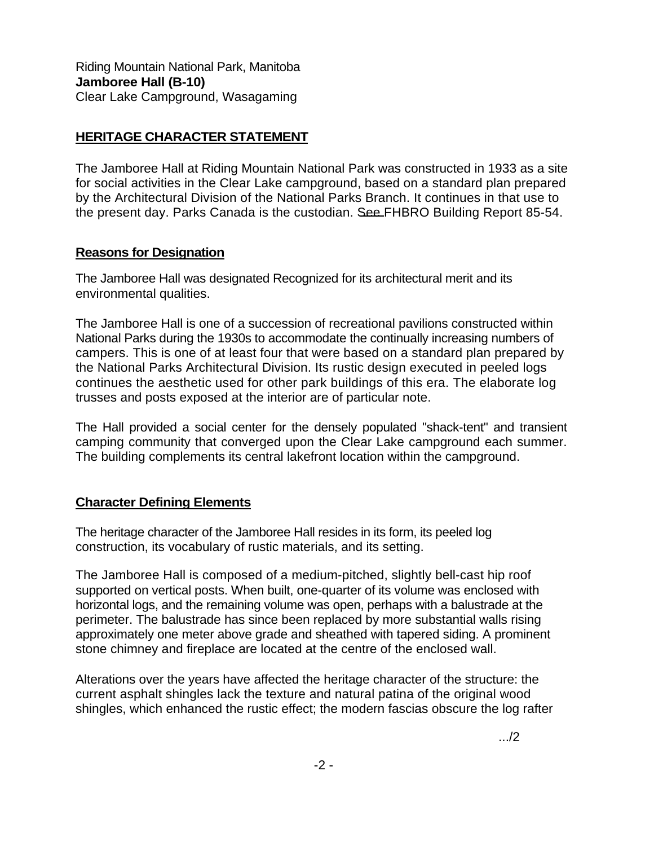Riding Mountain National Park, Manitoba **Jamboree Hall (B-10)**  Clear Lake Campground, Wasagaming

## **HERITAGE CHARACTER STATEMENT**

The Jamboree Hall at Riding Mountain National Park was constructed in 1933 as a site for social activities in the Clear Lake campground, based on a standard plan prepared by the Architectural Division of the National Parks Branch. It continues in that use to the present day. Parks Canada is the custodian. See FHBRO Building Report 85-54.

## **Reasons for Designation**

The Jamboree Hall was designated Recognized for its architectural merit and its environmental qualities.

The Jamboree Hall is one of a succession of recreational pavilions constructed within National Parks during the 1930s to accommodate the continually increasing numbers of campers. This is one of at least four that were based on a standard plan prepared by the National Parks Architectural Division. Its rustic design executed in peeled logs continues the aesthetic used for other park buildings of this era. The elaborate log trusses and posts exposed at the interior are of particular note.

The Hall provided a social center for the densely populated "shack-tent" and transient camping community that converged upon the Clear Lake campground each summer. The building complements its central lakefront location within the campground.

## **Character Defining Elements**

The heritage character of the Jamboree Hall resides in its form, its peeled log construction, its vocabulary of rustic materials, and its setting.

The Jamboree Hall is composed of a medium-pitched, slightly bell-cast hip roof supported on vertical posts. When built, one-quarter of its volume was enclosed with horizontal logs, and the remaining volume was open, perhaps with a balustrade at the perimeter. The balustrade has since been replaced by more substantial walls rising approximately one meter above grade and sheathed with tapered siding. A prominent stone chimney and fireplace are located at the centre of the enclosed wall.

Alterations over the years have affected the heritage character of the structure: the current asphalt shingles lack the texture and natural patina of the original wood shingles, which enhanced the rustic effect; the modern fascias obscure the log rafter